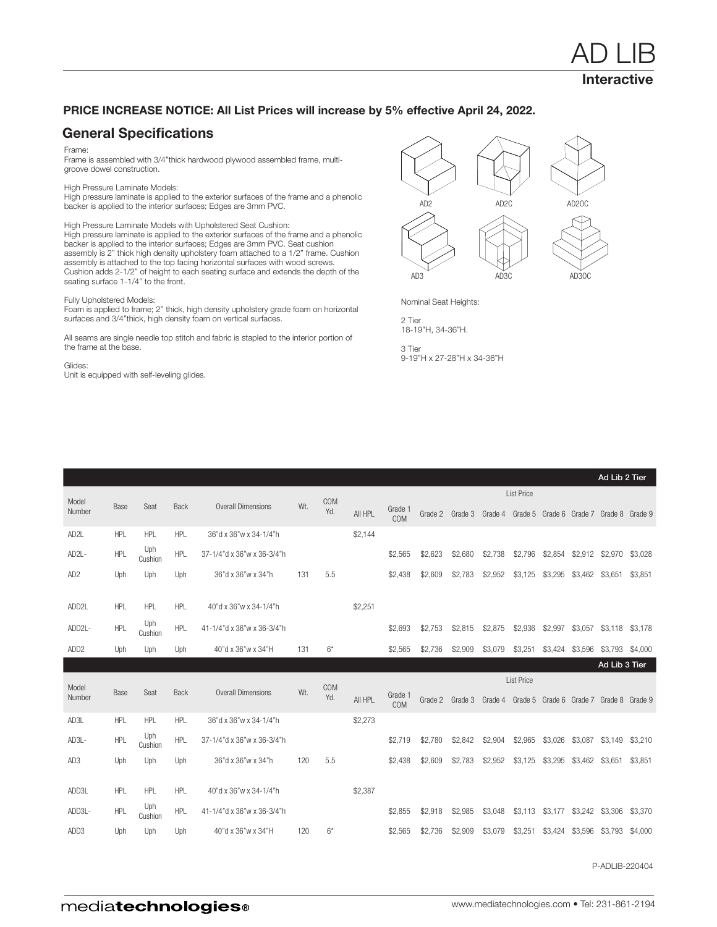# PRICE INCREASE NOTICE: All List Prices will increase by 5% effective April 24, 2022.

# General Specifications

### Frame:

Frame is assembled with 3/4"thick hardwood plywood assembled frame, multigroove dowel construction.

#### High Pressure Laminate Models:

High pressure laminate is applied to the exterior surfaces of the frame and a phenolic backer is applied to the interior surfaces; Edges are 3mm PVC.

High Pressure Laminate Models with Upholstered Seat Cushion: High pressure laminate is applied to the exterior surfaces of the frame and a phenolic backer is applied to the interior surfaces; Edges are 3mm PVC. Seat cushion assembly is 2" thick high density upholstery foam attached to a 1/2" frame. Cushion assembly is attached to the top facing horizontal surfaces with wood screws. Cushion adds 2-1/2" of height to each seating surface and extends the depth of the seating surface 1-1/4" to the front.

### Fully Upholstered Models:

Foam is applied to frame; 2" thick, high density upholstery grade foam on horizontal surfaces and 3/4"thick, high density foam on vertical surfaces.

All seams are single needle top stitch and fabric is stapled to the interior portion of the frame at the base.

### Glides:

Unit is equipped with self-leveling glides.



Nominal Seat Heights:

2 Tier 18-19"H, 34-36"H.

3 Tier 9-19"H x 27-28"H x 34-36"H

|                   |            |                |             |                            |     |            |         |                   |         |                 |         |                                                 |         |                                         | Ad Lib 2 Tier   |         |
|-------------------|------------|----------------|-------------|----------------------------|-----|------------|---------|-------------------|---------|-----------------|---------|-------------------------------------------------|---------|-----------------------------------------|-----------------|---------|
| Model             |            |                |             |                            |     |            |         |                   |         |                 |         |                                                 |         |                                         |                 |         |
| Number            | Base       | Seat           | <b>Back</b> | <b>Overall Dimensions</b>  | Wt. | COM<br>Yd. | All HPL | Grade 1<br>COM    |         | Grade 2 Grade 3 |         | Grade 4 Grade 5 Grade 6 Grade 7 Grade 8 Grade 9 |         |                                         |                 |         |
| AD <sub>2</sub> L | <b>HPL</b> | HPL            | HPL         | 36"d x 36"w x 34-1/4"h     |     |            | \$2,144 |                   |         |                 |         |                                                 |         |                                         |                 |         |
| AD2L-             | <b>HPL</b> | Uph<br>Cushion | <b>HPL</b>  | 37-1/4"d x 36"w x 36-3/4"h |     |            |         | \$2,565           | \$2,623 | \$2,680         | \$2,738 | \$2,796                                         | \$2,854 | \$2,912                                 | \$2,970         | \$3,028 |
| AD <sub>2</sub>   | Uph        | Uph            | Uph         | 36"d x 36"w x 34"h         | 131 | 5.5        |         | \$2,438           | \$2,609 | \$2,783         | \$2,952 | \$3,125                                         | \$3,295 | \$3,462                                 | \$3,651         | \$3,851 |
|                   |            |                |             |                            |     |            |         |                   |         |                 |         |                                                 |         |                                         |                 |         |
| ADD2L             | <b>HPL</b> | HPL            | <b>HPL</b>  | 40"d x 36"w x 34-1/4"h     |     |            | \$2,251 |                   |         |                 |         |                                                 |         |                                         |                 |         |
| ADD2L-            | <b>HPL</b> | Uph<br>Cushion | HPL         | 41-1/4"d x 36"w x 36-3/4"h |     |            |         | \$2.693           | \$2,753 | \$2,815         | \$2,875 | \$2,936                                         | \$2,997 | \$3,057                                 | \$3,118         | \$3.178 |
| ADD <sub>2</sub>  | Uph        | Uph            | Uph         | 40"d x 36"w x 34"H         | 131 | $6*$       |         | \$2,565           | \$2,736 | \$2,909         | \$3,079 | \$3,251                                         | \$3,424 | \$3,596                                 | \$3,793 \$4,000 |         |
|                   |            |                |             |                            |     |            |         |                   |         |                 |         |                                                 |         |                                         | Ad Lib 3 Tier   |         |
| Model             |            |                |             |                            |     | COM        |         | <b>List Price</b> |         |                 |         |                                                 |         |                                         |                 |         |
| Number            | Base       | Seat           | Back        | <b>Overall Dimensions</b>  | Wt. | Yd.        | All HPL | Grade 1<br>COM    |         | Grade 2 Grade 3 | Grade 4 |                                                 |         | Grade 5 Grade 6 Grade 7 Grade 8 Grade 9 |                 |         |
| AD3L              | <b>HPL</b> | <b>HPL</b>     | <b>HPL</b>  | 36"d x 36"w x 34-1/4"h     |     |            | \$2,273 |                   |         |                 |         |                                                 |         |                                         |                 |         |
| AD3L-             | <b>HPL</b> | Uph<br>Cushion | HPL         | 37-1/4"d x 36"w x 36-3/4"h |     |            |         | \$2,719           | \$2,780 | \$2,842         | \$2,904 | \$2,965                                         | \$3,026 | \$3,087                                 | \$3,149         | \$3,210 |
| AD3               | Uph        | Uph            | Uph         | 36"d x 36"w x 34"h         | 120 | 5.5        |         | \$2,438           | \$2,609 | \$2.783         | \$2,952 | \$3,125                                         | \$3,295 | \$3,462                                 | \$3,651         | \$3,851 |
|                   |            |                |             |                            |     |            |         |                   |         |                 |         |                                                 |         |                                         |                 |         |
| ADD3L             | <b>HPL</b> | <b>HPL</b>     | <b>HPI</b>  | 40"d x 36"w x 34-1/4"h     |     |            | \$2,387 |                   |         |                 |         |                                                 |         |                                         |                 |         |
| ADD3L-            | <b>HPL</b> | Uph<br>Cushion | <b>HPL</b>  | 41-1/4"d x 36"w x 36-3/4"h |     |            |         | \$2,855           | \$2,918 | \$2,985         | \$3,048 | \$3,113                                         | \$3,177 | \$3,242                                 | \$3,306         | \$3,370 |
| ADD3              | Uph        | Uph            | Uph         | 40"d x 36"w x 34"H         | 120 | $6*$       |         | \$2,565           | \$2,736 | \$2,909         | \$3,079 | \$3,251                                         | \$3,424 | \$3,596                                 | \$3,793         | \$4,000 |

P-ADLIB-220404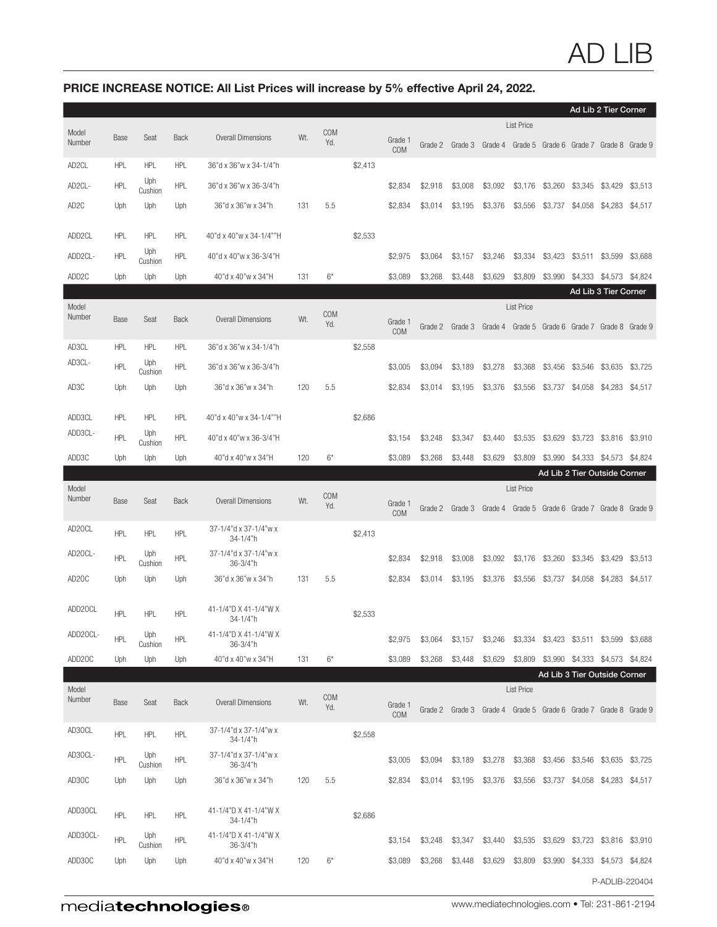# PRICE INCREASE NOTICE: All List Prices will increase by 5% effective April 24, 2022.

|                     |            |                   |             |                                   |     |            |         |                |         |                 |                                                                 |                                                                      | Ad Lib 2 Tier Corner                    |                                 |                 |                |
|---------------------|------------|-------------------|-------------|-----------------------------------|-----|------------|---------|----------------|---------|-----------------|-----------------------------------------------------------------|----------------------------------------------------------------------|-----------------------------------------|---------------------------------|-----------------|----------------|
|                     |            |                   |             |                                   |     | COM        |         |                |         |                 | <b>List Price</b>                                               |                                                                      |                                         |                                 |                 |                |
| Model<br>Number     | Base       | Seat              | <b>Back</b> | <b>Overall Dimensions</b>         | Wt. | Yd.        |         | Grade 1<br>COM | Grade 2 | Grade 3         |                                                                 | Grade 4 Grade 5 Grade 6 Grade 7 Grade 8 Grade 9                      |                                         |                                 |                 |                |
| AD <sub>2</sub> CL  | <b>HPL</b> | <b>HPL</b>        | <b>HPL</b>  | 36"d x 36"w x 34-1/4"h            |     |            | \$2,413 |                |         |                 |                                                                 |                                                                      |                                         |                                 |                 |                |
| AD2CL-              | <b>HPL</b> | Uph<br>Cushion    | <b>HPL</b>  | 36"d x 36"w x 36-3/4"h            |     |            |         | \$2,834        | \$2,918 | \$3,008         | \$3,092                                                         | \$3,176                                                              | \$3,260                                 | \$3,345                         | \$3,429         | \$3,513        |
| AD <sub>2</sub> C   | Uph        | Uph               | Uph         | 36"d x 36"w x 34"h                | 131 | 5.5        |         | \$2,834        | \$3,014 | \$3,195         | \$3,376                                                         | \$3,556                                                              | \$3,737                                 | \$4,058                         | \$4,283         | \$4,517        |
| ADD <sub>2</sub> CL | <b>HPL</b> | <b>HPL</b>        | <b>HPL</b>  | 40"d x 40"w x 34-1/4""H           |     |            | \$2,533 |                |         |                 |                                                                 |                                                                      |                                         |                                 |                 |                |
| ADD2CL-             | <b>HPL</b> | Uph<br>Cushion    | <b>HPL</b>  | 40"d x 40"w x 36-3/4"H            |     |            |         | \$2,975        | \$3,064 | \$3,157         | \$3,246                                                         | \$3,334                                                              | \$3,423                                 | \$3,511                         | \$3,599         | \$3,688        |
| ADD <sub>2</sub> C  | Uph        | Uph               | Uph         | 40"d x 40"w x 34"H                | 131 | $6*$       |         | \$3,089        | \$3,268 | \$3,448         | \$3,629                                                         | \$3,809                                                              | \$3,990                                 | \$4,333                         | \$4,573         | \$4,824        |
|                     |            |                   |             |                                   |     |            |         |                |         |                 |                                                                 |                                                                      |                                         | Ad Lib 3 Tier Corner            |                 |                |
| Model<br>Number     | Base       | Seat              | <b>Back</b> | <b>Overall Dimensions</b>         | Wt. | COM<br>Yd. |         | Grade 1<br>COM |         | Grade 2 Grade 3 |                                                                 | <b>List Price</b><br>Grade 4 Grade 5 Grade 6 Grade 7 Grade 8 Grade 9 |                                         |                                 |                 |                |
| AD3CL               | <b>HPL</b> | <b>HPL</b>        | <b>HPL</b>  | 36"d x 36"w x 34-1/4"h            |     |            | \$2,558 |                |         |                 |                                                                 |                                                                      |                                         |                                 |                 |                |
| AD3CL-              | <b>HPL</b> | Uph<br>Cushion    | <b>HPL</b>  | 36"d x 36"w x 36-3/4"h            |     |            |         | \$3,005        | \$3,094 | \$3.189         | \$3,278                                                         | \$3,368                                                              | \$3,456                                 | \$3,546                         | \$3.635         | \$3,725        |
| AD3C                | Uph        | Uph               | Uph         | 36"d x 36"w x 34"h                | 120 | 5.5        |         | \$2,834        | \$3,014 | \$3.195         | \$3,376                                                         | \$3.556                                                              | \$3,737                                 | \$4,058                         | \$4,283         | \$4,517        |
|                     |            |                   |             |                                   |     |            |         |                |         |                 |                                                                 |                                                                      |                                         |                                 |                 |                |
| ADD3CL<br>ADD3CL-   | <b>HPL</b> | <b>HPL</b><br>Uph | <b>HPL</b>  | 40"d x 40"w x 34-1/4""H           |     |            | \$2,686 |                |         |                 |                                                                 |                                                                      |                                         |                                 |                 |                |
|                     | <b>HPL</b> | Cushion           | <b>HPL</b>  | 40"d x 40"w x 36-3/4"H            |     |            |         | \$3,154        | \$3,248 | \$3,347         | \$3,440                                                         | \$3,535                                                              | \$3,629                                 | \$3,723                         | \$3,816         | \$3,910        |
| ADD3C               | Uph        | Uph               | Uph         | 40"d x 40"w x 34"H                | 120 | $6*$       |         | \$3,089        | \$3,268 | \$3,448         | \$3,629                                                         | \$3,809                                                              | \$3,990<br>Ad Lib 2 Tier Outside Corner |                                 | \$4,333 \$4,573 | \$4,824        |
| Model               |            |                   |             |                                   |     |            |         |                |         |                 |                                                                 | <b>List Price</b>                                                    |                                         |                                 |                 |                |
| Number              | Base       | Seat              | <b>Back</b> | <b>Overall Dimensions</b>         | Wt. | COM<br>Yd. |         | Grade 1<br>COM | Grade 2 | Grade 3         |                                                                 | Grade 4 Grade 5 Grade 6 Grade 7 Grade 8 Grade 9                      |                                         |                                 |                 |                |
| AD20CL              | <b>HPL</b> | HPL               | <b>HPL</b>  | 37-1/4"d x 37-1/4"w x<br>34-1/4"h |     |            | \$2,413 |                |         |                 |                                                                 |                                                                      |                                         |                                 |                 |                |
| AD20CL-             | <b>HPL</b> | Uph<br>Cushion    | <b>HPL</b>  | 37-1/4"d x 37-1/4"w x<br>36-3/4"h |     |            |         | \$2,834        | \$2,918 | \$3,008         | \$3,092                                                         | \$3,176                                                              | \$3,260                                 | \$3,345                         | \$3,429         | \$3,513        |
| AD <sub>20</sub> C  | Uph        | Uph               | Uph         | 36"d x 36"w x 34"h                | 131 | 5.5        |         | \$2,834        | \$3,014 | \$3,195         | \$3,376                                                         | \$3,556                                                              | \$3,737                                 | \$4,058                         | \$4,283         | \$4,517        |
| ADD20CL             | <b>HPL</b> | <b>HPL</b>        | <b>HPL</b>  | 41-1/4"D X 41-1/4"W X<br>34-1/4"h |     |            | \$2,533 |                |         |                 |                                                                 |                                                                      |                                         |                                 |                 |                |
| ADD20CL-            | <b>HPL</b> | Uph<br>Cushion    | <b>HPL</b>  | 41-1/4"D X 41-1/4"W X<br>36-3/4"h |     |            |         | \$2,975        | \$3,064 | \$3,157         | \$3,246                                                         |                                                                      | \$3,334 \$3,423 \$3,511 \$3,599 \$3,688 |                                 |                 |                |
| ADD20C              | Uph        | Uph               | Uph         | 40"d x 40"w x 34"H                | 131 | $6*$       |         | \$3,089        | \$3,268 | \$3,448         | \$3,629                                                         |                                                                      | \$3,809 \$3,990 \$4,333 \$4,573 \$4,824 |                                 |                 |                |
|                     |            |                   |             |                                   |     |            |         |                |         |                 |                                                                 |                                                                      | Ad Lib 3 Tier Outside Corner            |                                 |                 |                |
| Model<br>Number     | Base       | Seat              | <b>Back</b> | Overall Dimensions                | Wt. | COM        |         |                |         |                 |                                                                 | <b>List Price</b>                                                    |                                         |                                 |                 |                |
|                     |            |                   |             |                                   |     | Yd.        |         | Grade 1<br>COM |         |                 | Grade 2 Grade 3 Grade 4 Grade 5 Grade 6 Grade 7 Grade 8 Grade 9 |                                                                      |                                         |                                 |                 |                |
| AD30CL              | <b>HPL</b> | <b>HPL</b>        | <b>HPL</b>  | 37-1/4"d x 37-1/4"w x<br>34-1/4"h |     |            | \$2,558 |                |         |                 |                                                                 |                                                                      |                                         |                                 |                 |                |
| AD30CL-             | <b>HPL</b> | Uph<br>Cushion    | <b>HPL</b>  | 37-1/4"d x 37-1/4"w x<br>36-3/4"h |     |            |         | \$3,005        | \$3,094 | \$3,189         | \$3,278                                                         | \$3,368                                                              |                                         | \$3,456 \$3,546 \$3,635         |                 | \$3,725        |
| AD30C               | Uph        | Uph               | Uph         | 36"d x 36"w x 34"h                | 120 | 5.5        |         | \$2,834        | \$3,014 | \$3,195         | \$3,376                                                         |                                                                      | \$3,556 \$3,737 \$4,058 \$4,283 \$4,517 |                                 |                 |                |
| ADD30CL             | <b>HPL</b> | <b>HPL</b>        | <b>HPL</b>  | 41-1/4"D X 41-1/4"W X<br>34-1/4"h |     |            | \$2,686 |                |         |                 |                                                                 |                                                                      |                                         |                                 |                 |                |
| ADD30CL-            | <b>HPL</b> | Uph<br>Cushion    | <b>HPL</b>  | 41-1/4"D X 41-1/4"W X<br>36-3/4"h |     |            |         | \$3,154        | \$3,248 | \$3,347         | \$3,440                                                         | \$3,535                                                              |                                         | \$3,629 \$3,723 \$3,816 \$3,910 |                 |                |
| ADD30C              | Uph        | Uph               | Uph         | 40"d x 40"w x 34"H                | 120 | $6*$       |         | \$3,089        | \$3,268 | \$3,448         | \$3,629                                                         |                                                                      | \$3,809 \$3,990 \$4,333 \$4,573 \$4,824 |                                 |                 |                |
|                     |            |                   |             |                                   |     |            |         |                |         |                 |                                                                 |                                                                      |                                         |                                 |                 | P-ADLIB-220404 |